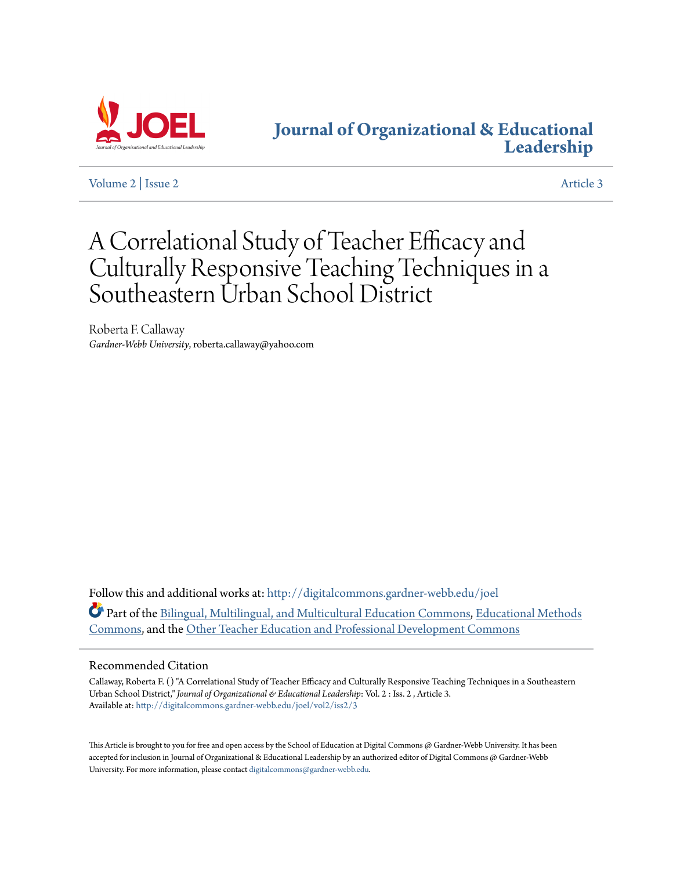

## **[Journal of Organizational & Educational](http://digitalcommons.gardner-webb.edu/joel?utm_source=digitalcommons.gardner-webb.edu%2Fjoel%2Fvol2%2Fiss2%2F3&utm_medium=PDF&utm_campaign=PDFCoverPages) [Leadership](http://digitalcommons.gardner-webb.edu/joel?utm_source=digitalcommons.gardner-webb.edu%2Fjoel%2Fvol2%2Fiss2%2F3&utm_medium=PDF&utm_campaign=PDFCoverPages)**

[Volume 2](http://digitalcommons.gardner-webb.edu/joel/vol2?utm_source=digitalcommons.gardner-webb.edu%2Fjoel%2Fvol2%2Fiss2%2F3&utm_medium=PDF&utm_campaign=PDFCoverPages) | [Issue 2](http://digitalcommons.gardner-webb.edu/joel/vol2/iss2?utm_source=digitalcommons.gardner-webb.edu%2Fjoel%2Fvol2%2Fiss2%2F3&utm_medium=PDF&utm_campaign=PDFCoverPages) [Article 3](http://digitalcommons.gardner-webb.edu/joel/vol2/iss2/3?utm_source=digitalcommons.gardner-webb.edu%2Fjoel%2Fvol2%2Fiss2%2F3&utm_medium=PDF&utm_campaign=PDFCoverPages)

# A Correlational Study of Teacher Efficacy and Culturally Responsive Teaching Techniques in a Southeastern Urban School District

Roberta F. Callaway *Gardner-Webb University*, roberta.callaway@yahoo.com

Follow this and additional works at: [http://digitalcommons.gardner-webb.edu/joel](http://digitalcommons.gardner-webb.edu/joel?utm_source=digitalcommons.gardner-webb.edu%2Fjoel%2Fvol2%2Fiss2%2F3&utm_medium=PDF&utm_campaign=PDFCoverPages) Part of the [Bilingual, Multilingual, and Multicultural Education Commons](http://network.bepress.com/hgg/discipline/785?utm_source=digitalcommons.gardner-webb.edu%2Fjoel%2Fvol2%2Fiss2%2F3&utm_medium=PDF&utm_campaign=PDFCoverPages), [Educational Methods](http://network.bepress.com/hgg/discipline/1227?utm_source=digitalcommons.gardner-webb.edu%2Fjoel%2Fvol2%2Fiss2%2F3&utm_medium=PDF&utm_campaign=PDFCoverPages) [Commons,](http://network.bepress.com/hgg/discipline/1227?utm_source=digitalcommons.gardner-webb.edu%2Fjoel%2Fvol2%2Fiss2%2F3&utm_medium=PDF&utm_campaign=PDFCoverPages) and the [Other Teacher Education and Professional Development Commons](http://network.bepress.com/hgg/discipline/810?utm_source=digitalcommons.gardner-webb.edu%2Fjoel%2Fvol2%2Fiss2%2F3&utm_medium=PDF&utm_campaign=PDFCoverPages)

## Recommended Citation

Callaway, Roberta F. () "A Correlational Study of Teacher Efficacy and Culturally Responsive Teaching Techniques in a Southeastern Urban School District," *Journal of Organizational & Educational Leadership*: Vol. 2 : Iss. 2 , Article 3. Available at: [http://digitalcommons.gardner-webb.edu/joel/vol2/iss2/3](http://digitalcommons.gardner-webb.edu/joel/vol2/iss2/3?utm_source=digitalcommons.gardner-webb.edu%2Fjoel%2Fvol2%2Fiss2%2F3&utm_medium=PDF&utm_campaign=PDFCoverPages)

This Article is brought to you for free and open access by the School of Education at Digital Commons @ Gardner-Webb University. It has been accepted for inclusion in Journal of Organizational & Educational Leadership by an authorized editor of Digital Commons @ Gardner-Webb University. For more information, please contact [digitalcommons@gardner-webb.edu.](mailto:digitalcommons@gardner-webb.edu)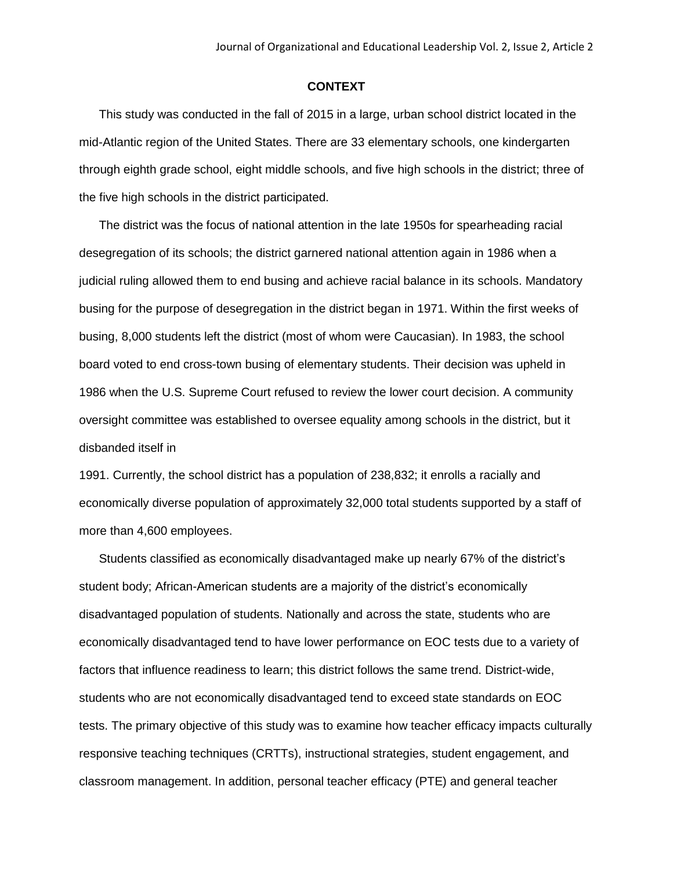#### **CONTEXT**

This study was conducted in the fall of 2015 in a large, urban school district located in the mid-Atlantic region of the United States. There are 33 elementary schools, one kindergarten through eighth grade school, eight middle schools, and five high schools in the district; three of the five high schools in the district participated.

The district was the focus of national attention in the late 1950s for spearheading racial desegregation of its schools; the district garnered national attention again in 1986 when a judicial ruling allowed them to end busing and achieve racial balance in its schools. Mandatory busing for the purpose of desegregation in the district began in 1971. Within the first weeks of busing, 8,000 students left the district (most of whom were Caucasian). In 1983, the school board voted to end cross-town busing of elementary students. Their decision was upheld in 1986 when the U.S. Supreme Court refused to review the lower court decision. A community oversight committee was established to oversee equality among schools in the district, but it disbanded itself in

1991. Currently, the school district has a population of 238,832; it enrolls a racially and economically diverse population of approximately 32,000 total students supported by a staff of more than 4,600 employees.

Students classified as economically disadvantaged make up nearly 67% of the district's student body; African-American students are a majority of the district's economically disadvantaged population of students. Nationally and across the state, students who are economically disadvantaged tend to have lower performance on EOC tests due to a variety of factors that influence readiness to learn; this district follows the same trend. District-wide, students who are not economically disadvantaged tend to exceed state standards on EOC tests. The primary objective of this study was to examine how teacher efficacy impacts culturally responsive teaching techniques (CRTTs), instructional strategies, student engagement, and classroom management. In addition, personal teacher efficacy (PTE) and general teacher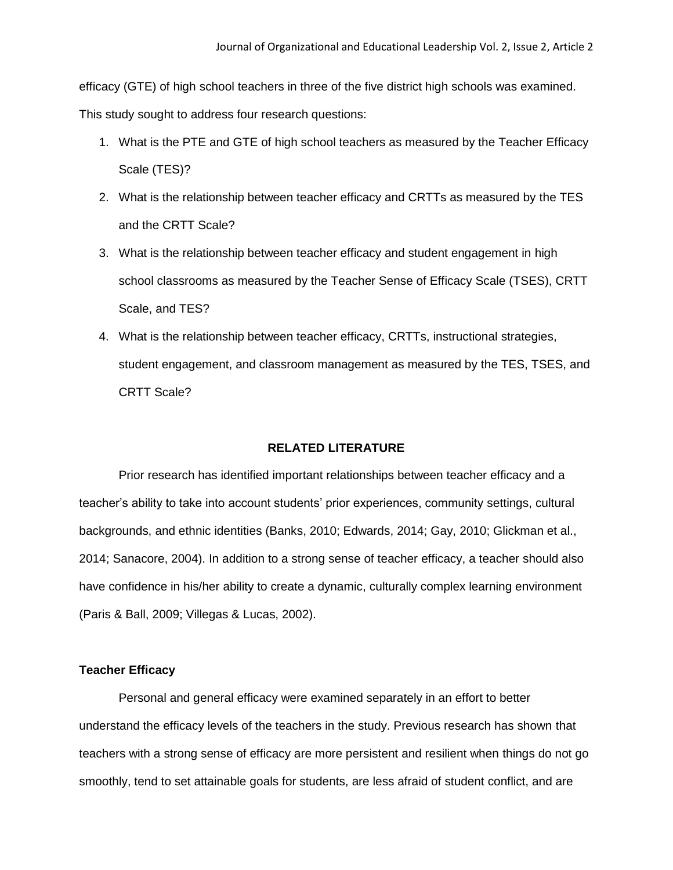efficacy (GTE) of high school teachers in three of the five district high schools was examined.

This study sought to address four research questions:

- 1. What is the PTE and GTE of high school teachers as measured by the Teacher Efficacy Scale (TES)?
- 2. What is the relationship between teacher efficacy and CRTTs as measured by the TES and the CRTT Scale?
- 3. What is the relationship between teacher efficacy and student engagement in high school classrooms as measured by the Teacher Sense of Efficacy Scale (TSES), CRTT Scale, and TES?
- 4. What is the relationship between teacher efficacy, CRTTs, instructional strategies, student engagement, and classroom management as measured by the TES, TSES, and CRTT Scale?

## **RELATED LITERATURE**

Prior research has identified important relationships between teacher efficacy and a teacher's ability to take into account students' prior experiences, community settings, cultural backgrounds, and ethnic identities (Banks, 2010; Edwards, 2014; Gay, 2010; Glickman et al., 2014; Sanacore, 2004). In addition to a strong sense of teacher efficacy, a teacher should also have confidence in his/her ability to create a dynamic, culturally complex learning environment (Paris & Ball, 2009; Villegas & Lucas, 2002).

## **Teacher Efficacy**

Personal and general efficacy were examined separately in an effort to better understand the efficacy levels of the teachers in the study. Previous research has shown that teachers with a strong sense of efficacy are more persistent and resilient when things do not go smoothly, tend to set attainable goals for students, are less afraid of student conflict, and are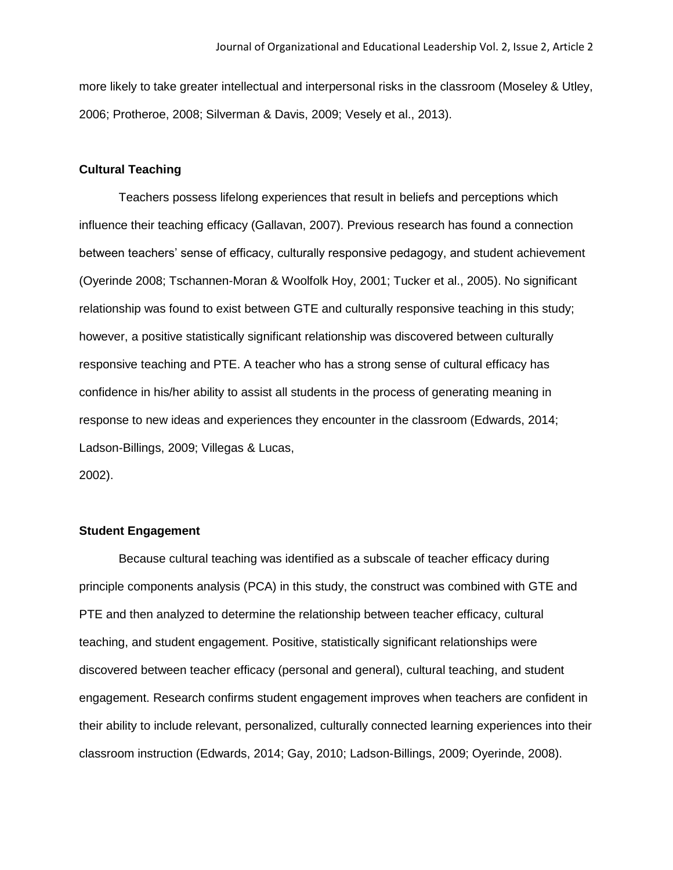more likely to take greater intellectual and interpersonal risks in the classroom (Moseley & Utley, 2006; Protheroe, 2008; Silverman & Davis, 2009; Vesely et al., 2013).

## **Cultural Teaching**

Teachers possess lifelong experiences that result in beliefs and perceptions which influence their teaching efficacy (Gallavan, 2007). Previous research has found a connection between teachers' sense of efficacy, culturally responsive pedagogy, and student achievement (Oyerinde 2008; Tschannen-Moran & Woolfolk Hoy, 2001; Tucker et al., 2005). No significant relationship was found to exist between GTE and culturally responsive teaching in this study; however, a positive statistically significant relationship was discovered between culturally responsive teaching and PTE. A teacher who has a strong sense of cultural efficacy has confidence in his/her ability to assist all students in the process of generating meaning in response to new ideas and experiences they encounter in the classroom (Edwards, 2014; Ladson-Billings, 2009; Villegas & Lucas, 2002).

## **Student Engagement**

Because cultural teaching was identified as a subscale of teacher efficacy during principle components analysis (PCA) in this study, the construct was combined with GTE and PTE and then analyzed to determine the relationship between teacher efficacy, cultural teaching, and student engagement. Positive, statistically significant relationships were discovered between teacher efficacy (personal and general), cultural teaching, and student engagement. Research confirms student engagement improves when teachers are confident in their ability to include relevant, personalized, culturally connected learning experiences into their classroom instruction (Edwards, 2014; Gay, 2010; Ladson-Billings, 2009; Oyerinde, 2008).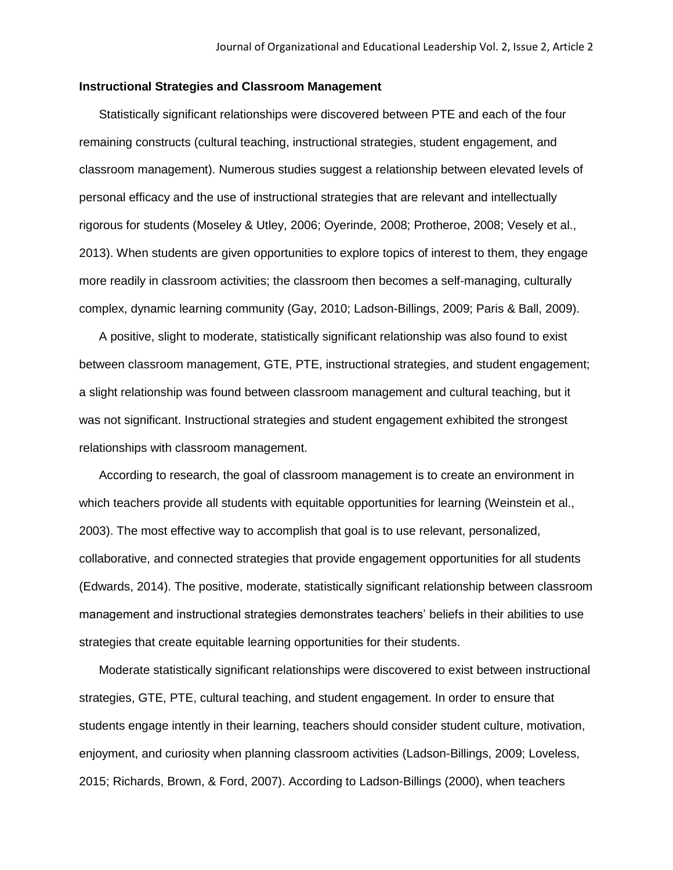## **Instructional Strategies and Classroom Management**

Statistically significant relationships were discovered between PTE and each of the four remaining constructs (cultural teaching, instructional strategies, student engagement, and classroom management). Numerous studies suggest a relationship between elevated levels of personal efficacy and the use of instructional strategies that are relevant and intellectually rigorous for students (Moseley & Utley, 2006; Oyerinde, 2008; Protheroe, 2008; Vesely et al., 2013). When students are given opportunities to explore topics of interest to them, they engage more readily in classroom activities; the classroom then becomes a self-managing, culturally complex, dynamic learning community (Gay, 2010; Ladson-Billings, 2009; Paris & Ball, 2009).

A positive, slight to moderate, statistically significant relationship was also found to exist between classroom management, GTE, PTE, instructional strategies, and student engagement; a slight relationship was found between classroom management and cultural teaching, but it was not significant. Instructional strategies and student engagement exhibited the strongest relationships with classroom management.

According to research, the goal of classroom management is to create an environment in which teachers provide all students with equitable opportunities for learning (Weinstein et al., 2003). The most effective way to accomplish that goal is to use relevant, personalized, collaborative, and connected strategies that provide engagement opportunities for all students (Edwards, 2014). The positive, moderate, statistically significant relationship between classroom management and instructional strategies demonstrates teachers' beliefs in their abilities to use strategies that create equitable learning opportunities for their students.

Moderate statistically significant relationships were discovered to exist between instructional strategies, GTE, PTE, cultural teaching, and student engagement. In order to ensure that students engage intently in their learning, teachers should consider student culture, motivation, enjoyment, and curiosity when planning classroom activities (Ladson-Billings, 2009; Loveless, 2015; Richards, Brown, & Ford, 2007). According to Ladson-Billings (2000), when teachers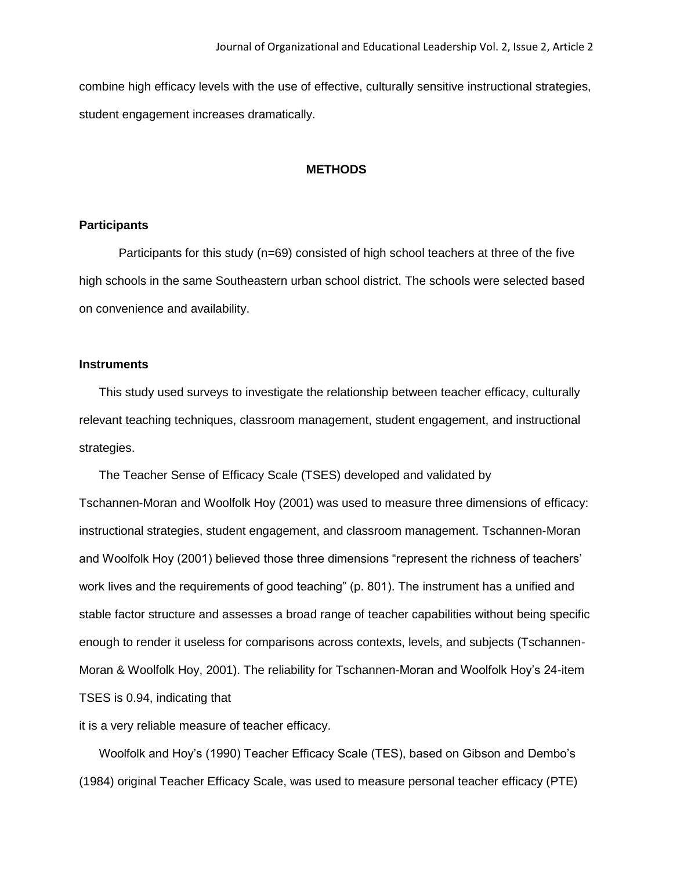combine high efficacy levels with the use of effective, culturally sensitive instructional strategies, student engagement increases dramatically.

## **METHODS**

## **Participants**

Participants for this study (n=69) consisted of high school teachers at three of the five high schools in the same Southeastern urban school district. The schools were selected based on convenience and availability.

## **Instruments**

This study used surveys to investigate the relationship between teacher efficacy, culturally relevant teaching techniques, classroom management, student engagement, and instructional strategies.

The Teacher Sense of Efficacy Scale (TSES) developed and validated by Tschannen-Moran and Woolfolk Hoy (2001) was used to measure three dimensions of efficacy: instructional strategies, student engagement, and classroom management. Tschannen-Moran and Woolfolk Hoy (2001) believed those three dimensions "represent the richness of teachers' work lives and the requirements of good teaching" (p. 801). The instrument has a unified and stable factor structure and assesses a broad range of teacher capabilities without being specific enough to render it useless for comparisons across contexts, levels, and subjects (Tschannen-Moran & Woolfolk Hoy, 2001). The reliability for Tschannen-Moran and Woolfolk Hoy's 24-item TSES is 0.94, indicating that

it is a very reliable measure of teacher efficacy.

Woolfolk and Hoy's (1990) Teacher Efficacy Scale (TES), based on Gibson and Dembo's (1984) original Teacher Efficacy Scale, was used to measure personal teacher efficacy (PTE)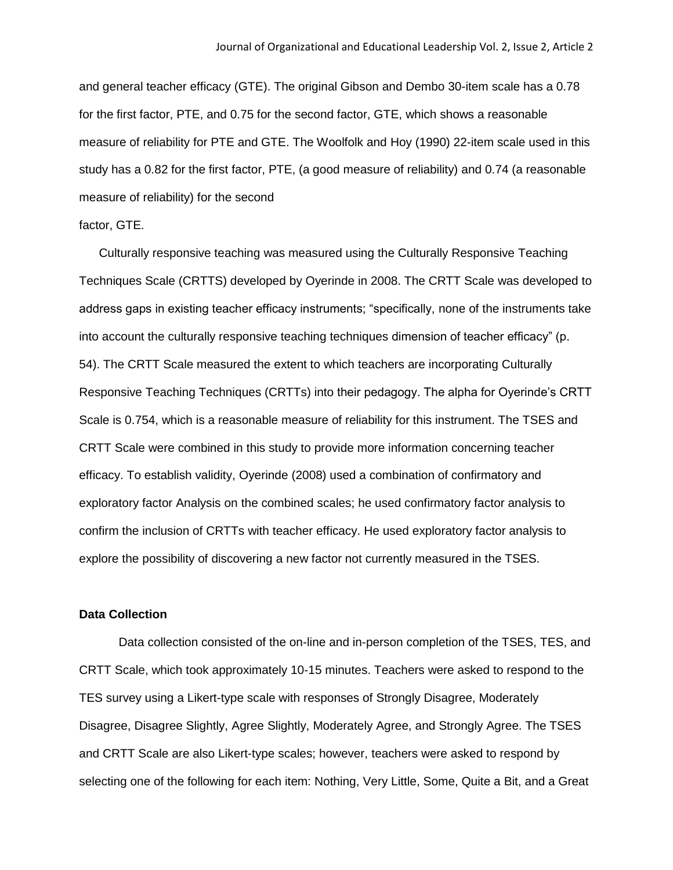and general teacher efficacy (GTE). The original Gibson and Dembo 30-item scale has a 0.78 for the first factor, PTE, and 0.75 for the second factor, GTE, which shows a reasonable measure of reliability for PTE and GTE. The Woolfolk and Hoy (1990) 22-item scale used in this study has a 0.82 for the first factor, PTE, (a good measure of reliability) and 0.74 (a reasonable measure of reliability) for the second

## factor, GTE.

Culturally responsive teaching was measured using the Culturally Responsive Teaching Techniques Scale (CRTTS) developed by Oyerinde in 2008. The CRTT Scale was developed to address gaps in existing teacher efficacy instruments; "specifically, none of the instruments take into account the culturally responsive teaching techniques dimension of teacher efficacy" (p. 54). The CRTT Scale measured the extent to which teachers are incorporating Culturally Responsive Teaching Techniques (CRTTs) into their pedagogy. The alpha for Oyerinde's CRTT Scale is 0.754, which is a reasonable measure of reliability for this instrument. The TSES and CRTT Scale were combined in this study to provide more information concerning teacher efficacy. To establish validity, Oyerinde (2008) used a combination of confirmatory and exploratory factor Analysis on the combined scales; he used confirmatory factor analysis to confirm the inclusion of CRTTs with teacher efficacy. He used exploratory factor analysis to explore the possibility of discovering a new factor not currently measured in the TSES.

#### **Data Collection**

Data collection consisted of the on-line and in-person completion of the TSES, TES, and CRTT Scale, which took approximately 10-15 minutes. Teachers were asked to respond to the TES survey using a Likert-type scale with responses of Strongly Disagree, Moderately Disagree, Disagree Slightly, Agree Slightly, Moderately Agree, and Strongly Agree. The TSES and CRTT Scale are also Likert-type scales; however, teachers were asked to respond by selecting one of the following for each item: Nothing, Very Little, Some, Quite a Bit, and a Great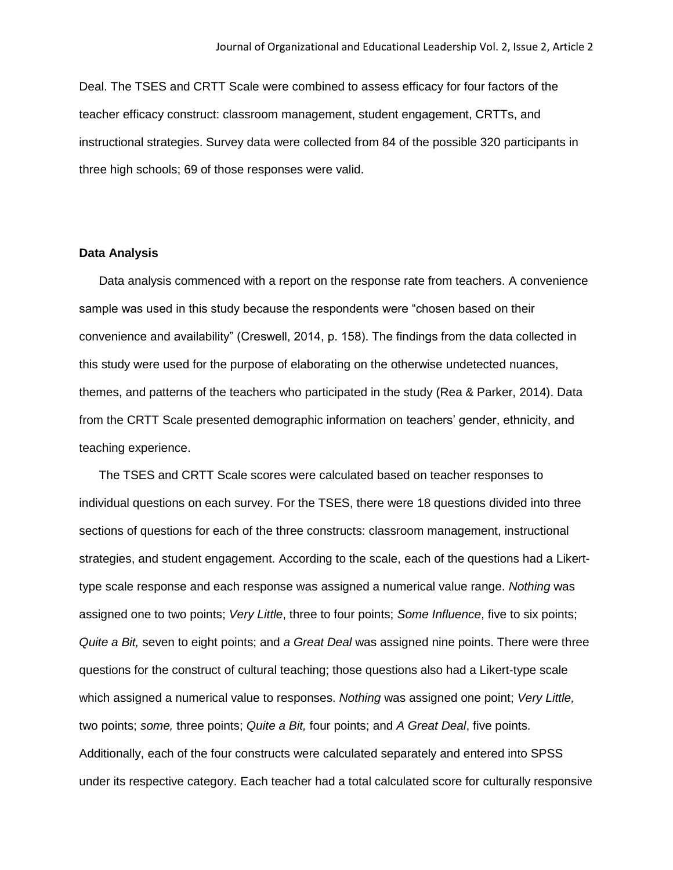Deal. The TSES and CRTT Scale were combined to assess efficacy for four factors of the teacher efficacy construct: classroom management, student engagement, CRTTs, and instructional strategies. Survey data were collected from 84 of the possible 320 participants in three high schools; 69 of those responses were valid.

## **Data Analysis**

Data analysis commenced with a report on the response rate from teachers. A convenience sample was used in this study because the respondents were "chosen based on their convenience and availability" (Creswell, 2014, p. 158). The findings from the data collected in this study were used for the purpose of elaborating on the otherwise undetected nuances, themes, and patterns of the teachers who participated in the study (Rea & Parker, 2014). Data from the CRTT Scale presented demographic information on teachers' gender, ethnicity, and teaching experience.

The TSES and CRTT Scale scores were calculated based on teacher responses to individual questions on each survey. For the TSES, there were 18 questions divided into three sections of questions for each of the three constructs: classroom management, instructional strategies, and student engagement. According to the scale, each of the questions had a Likerttype scale response and each response was assigned a numerical value range. *Nothing* was assigned one to two points; *Very Little*, three to four points; *Some Influence*, five to six points; *Quite a Bit,* seven to eight points; and *a Great Deal* was assigned nine points. There were three questions for the construct of cultural teaching; those questions also had a Likert-type scale which assigned a numerical value to responses. *Nothing* was assigned one point; *Very Little,*  two points; *some,* three points; *Quite a Bit,* four points; and *A Great Deal*, five points. Additionally, each of the four constructs were calculated separately and entered into SPSS under its respective category. Each teacher had a total calculated score for culturally responsive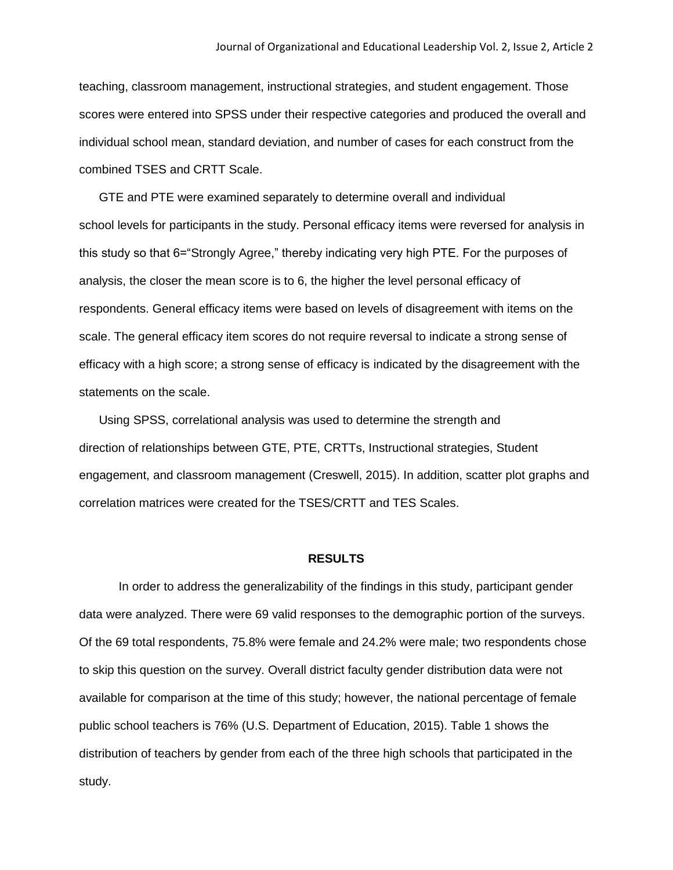teaching, classroom management, instructional strategies, and student engagement. Those scores were entered into SPSS under their respective categories and produced the overall and individual school mean, standard deviation, and number of cases for each construct from the combined TSES and CRTT Scale.

GTE and PTE were examined separately to determine overall and individual school levels for participants in the study. Personal efficacy items were reversed for analysis in this study so that 6="Strongly Agree," thereby indicating very high PTE. For the purposes of analysis, the closer the mean score is to 6, the higher the level personal efficacy of respondents. General efficacy items were based on levels of disagreement with items on the scale. The general efficacy item scores do not require reversal to indicate a strong sense of efficacy with a high score; a strong sense of efficacy is indicated by the disagreement with the statements on the scale.

Using SPSS, correlational analysis was used to determine the strength and direction of relationships between GTE, PTE, CRTTs, Instructional strategies, Student engagement, and classroom management (Creswell, 2015). In addition, scatter plot graphs and correlation matrices were created for the TSES/CRTT and TES Scales.

#### **RESULTS**

In order to address the generalizability of the findings in this study, participant gender data were analyzed. There were 69 valid responses to the demographic portion of the surveys. Of the 69 total respondents, 75.8% were female and 24.2% were male; two respondents chose to skip this question on the survey. Overall district faculty gender distribution data were not available for comparison at the time of this study; however, the national percentage of female public school teachers is 76% (U.S. Department of Education, 2015). Table 1 shows the distribution of teachers by gender from each of the three high schools that participated in the study.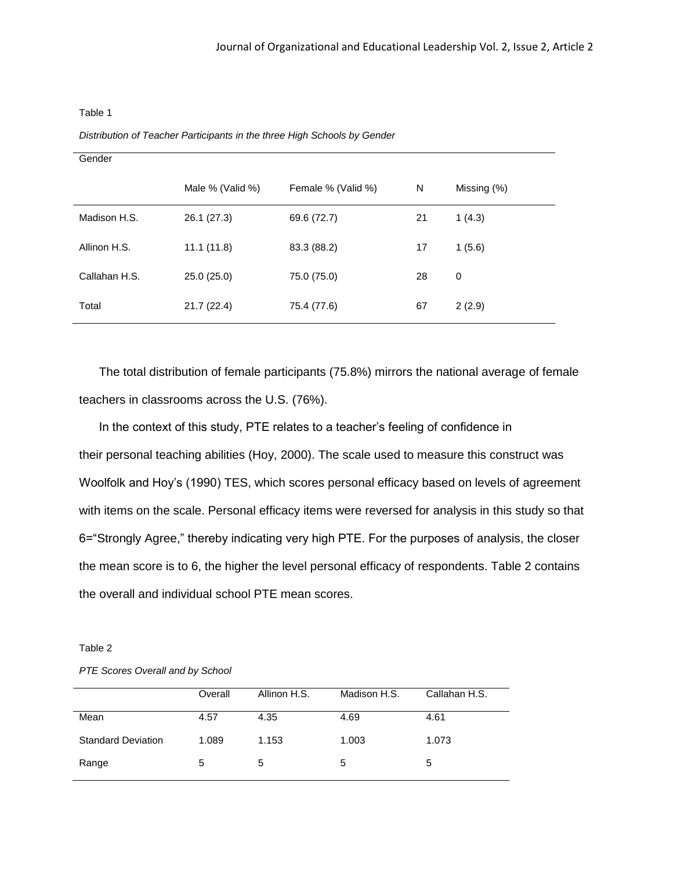#### Table 1

*Distribution of Teacher Participants in the three High Schools by Gender*

| Gender        |                  |                    |    |             |
|---------------|------------------|--------------------|----|-------------|
|               | Male % (Valid %) | Female % (Valid %) | N  | Missing (%) |
| Madison H.S.  | 26.1 (27.3)      | 69.6 (72.7)        | 21 | 1(4.3)      |
| Allinon H.S.  | 11.1(11.8)       | 83.3 (88.2)        | 17 | 1(5.6)      |
| Callahan H.S. | 25.0(25.0)       | 75.0 (75.0)        | 28 | 0           |
| Total         | 21.7(22.4)       | 75.4 (77.6)        | 67 | 2(2.9)      |

The total distribution of female participants (75.8%) mirrors the national average of female teachers in classrooms across the U.S. (76%).

In the context of this study, PTE relates to a teacher's feeling of confidence in their personal teaching abilities (Hoy, 2000). The scale used to measure this construct was Woolfolk and Hoy's (1990) TES, which scores personal efficacy based on levels of agreement with items on the scale. Personal efficacy items were reversed for analysis in this study so that 6="Strongly Agree," thereby indicating very high PTE. For the purposes of analysis, the closer the mean score is to 6, the higher the level personal efficacy of respondents. Table 2 contains the overall and individual school PTE mean scores.

#### Table 2

#### *PTE Scores Overall and by School*

|                           | Overall | Allinon H.S. | Madison H.S. | Callahan H.S. |
|---------------------------|---------|--------------|--------------|---------------|
| Mean                      | 4.57    | 4.35         | 4.69         | 4.61          |
| <b>Standard Deviation</b> | 1.089   | 1.153        | 1.003        | 1.073         |
| Range                     | 5       | 5            | 5            | 5             |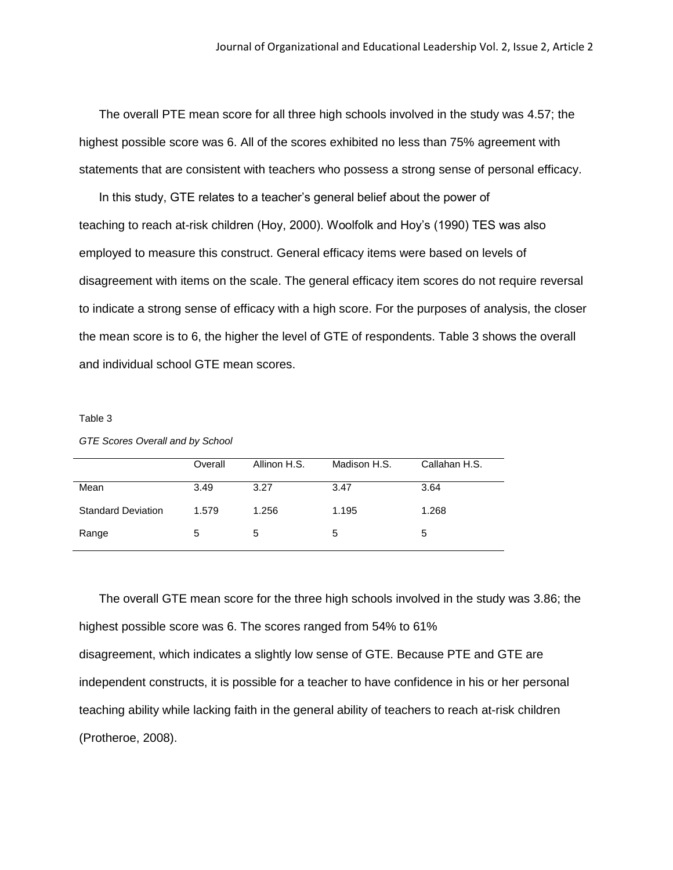The overall PTE mean score for all three high schools involved in the study was 4.57; the highest possible score was 6. All of the scores exhibited no less than 75% agreement with statements that are consistent with teachers who possess a strong sense of personal efficacy.

In this study, GTE relates to a teacher's general belief about the power of teaching to reach at-risk children (Hoy, 2000). Woolfolk and Hoy's (1990) TES was also employed to measure this construct. General efficacy items were based on levels of disagreement with items on the scale. The general efficacy item scores do not require reversal to indicate a strong sense of efficacy with a high score. For the purposes of analysis, the closer the mean score is to 6, the higher the level of GTE of respondents. Table 3 shows the overall and individual school GTE mean scores.

#### Table 3

#### *GTE Scores Overall and by School*

|                           | Overall | Allinon H.S. | Madison H.S. | Callahan H.S. |
|---------------------------|---------|--------------|--------------|---------------|
| Mean                      | 3.49    | 3.27         | 3.47         | 3.64          |
| <b>Standard Deviation</b> | 1.579   | 1.256        | 1.195        | 1.268         |
| Range                     | 5       | 5            | 5            | 5             |

The overall GTE mean score for the three high schools involved in the study was 3.86; the highest possible score was 6. The scores ranged from 54% to 61% disagreement, which indicates a slightly low sense of GTE. Because PTE and GTE are independent constructs, it is possible for a teacher to have confidence in his or her personal teaching ability while lacking faith in the general ability of teachers to reach at-risk children (Protheroe, 2008).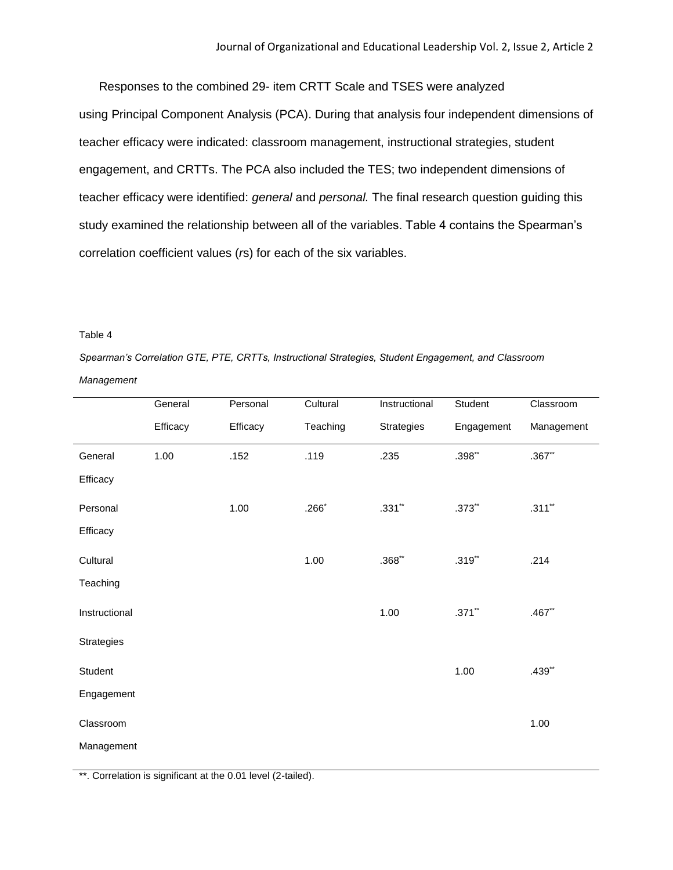Responses to the combined 29- item CRTT Scale and TSES were analyzed using Principal Component Analysis (PCA). During that analysis four independent dimensions of teacher efficacy were indicated: classroom management, instructional strategies, student engagement, and CRTTs. The PCA also included the TES; two independent dimensions of teacher efficacy were identified: *general* and *personal.* The final research question guiding this study examined the relationship between all of the variables. Table 4 contains the Spearman's correlation coefficient values (*r*s) for each of the six variables.

#### Table 4

*Spearman's Correlation GTE, PTE, CRTTs, Instructional Strategies, Student Engagement, and Classroom* 

*Management*

|                   | General  | Personal | Cultural | Instructional | Student     | Classroom  |
|-------------------|----------|----------|----------|---------------|-------------|------------|
|                   | Efficacy | Efficacy | Teaching | Strategies    | Engagement  | Management |
| General           | 1.00     | .152     | .119     | .235          | $.398**$    | $.367$ **  |
| Efficacy          |          |          |          |               |             |            |
| Personal          |          | 1.00     | $.266*$  | $.331**$      | $.373^{**}$ | $.311**$   |
| Efficacy          |          |          |          |               |             |            |
| Cultural          |          |          | 1.00     | $.368**$      | $.319^{**}$ | .214       |
| Teaching          |          |          |          |               |             |            |
| Instructional     |          |          |          | 1.00          | $.371$ **   | $.467**$   |
| <b>Strategies</b> |          |          |          |               |             |            |
| Student           |          |          |          |               | 1.00        | $.439**$   |
| Engagement        |          |          |          |               |             |            |
| Classroom         |          |          |          |               |             | 1.00       |
| Management        |          |          |          |               |             |            |

\*\*. Correlation is significant at the 0.01 level (2-tailed).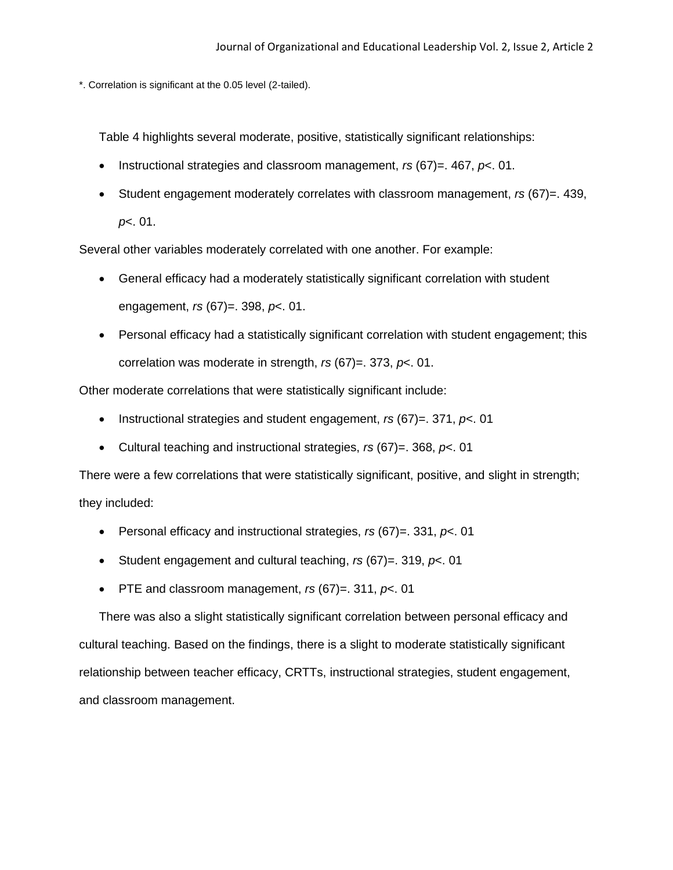\*. Correlation is significant at the 0.05 level (2-tailed).

Table 4 highlights several moderate, positive, statistically significant relationships:

- Instructional strategies and classroom management, *rs* (67)=. 467, *p*<. 01.
- Student engagement moderately correlates with classroom management, *rs* (67)=. 439, *p*<. 01.

Several other variables moderately correlated with one another. For example:

- General efficacy had a moderately statistically significant correlation with student engagement, *rs* (67)=. 398, *p*<. 01.
- Personal efficacy had a statistically significant correlation with student engagement; this correlation was moderate in strength, *rs* (67)=. 373, *p*<. 01.

Other moderate correlations that were statistically significant include:

- Instructional strategies and student engagement, *rs* (67)=. 371, *p*<. 01
- Cultural teaching and instructional strategies, *rs* (67)=. 368, *p*<. 01

There were a few correlations that were statistically significant, positive, and slight in strength; they included:

- Personal efficacy and instructional strategies, *rs* (67)=. 331, *p*<. 01
- Student engagement and cultural teaching, *rs* (67)=. 319, *p*<. 01
- PTE and classroom management, *rs* (67)=. 311, *p*<. 01

There was also a slight statistically significant correlation between personal efficacy and cultural teaching. Based on the findings, there is a slight to moderate statistically significant relationship between teacher efficacy, CRTTs, instructional strategies, student engagement, and classroom management.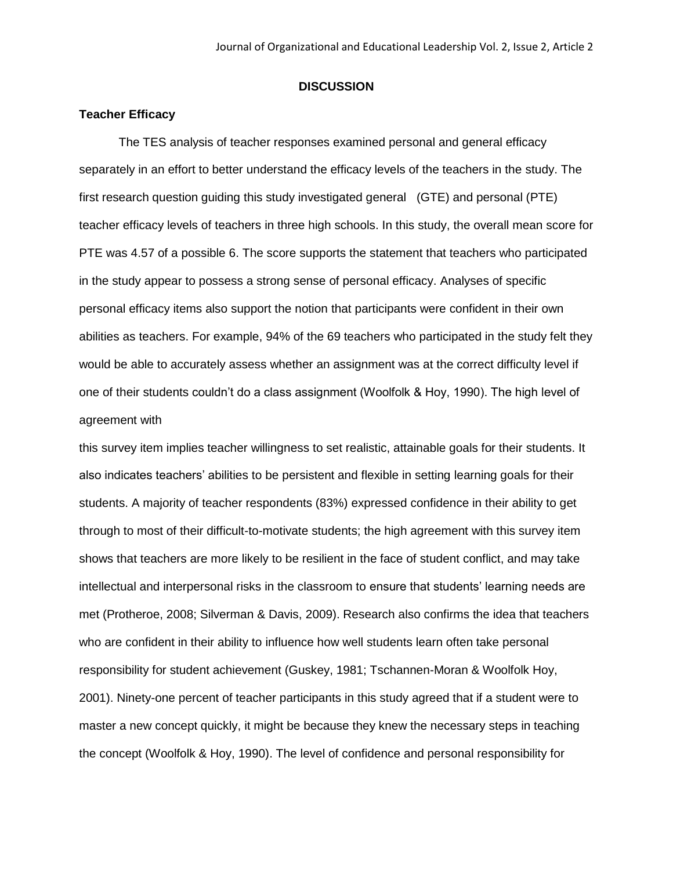#### **DISCUSSION**

## **Teacher Efficacy**

The TES analysis of teacher responses examined personal and general efficacy separately in an effort to better understand the efficacy levels of the teachers in the study. The first research question guiding this study investigated general (GTE) and personal (PTE) teacher efficacy levels of teachers in three high schools. In this study, the overall mean score for PTE was 4.57 of a possible 6. The score supports the statement that teachers who participated in the study appear to possess a strong sense of personal efficacy. Analyses of specific personal efficacy items also support the notion that participants were confident in their own abilities as teachers. For example, 94% of the 69 teachers who participated in the study felt they would be able to accurately assess whether an assignment was at the correct difficulty level if one of their students couldn't do a class assignment (Woolfolk & Hoy, 1990). The high level of agreement with

this survey item implies teacher willingness to set realistic, attainable goals for their students. It also indicates teachers' abilities to be persistent and flexible in setting learning goals for their students. A majority of teacher respondents (83%) expressed confidence in their ability to get through to most of their difficult-to-motivate students; the high agreement with this survey item shows that teachers are more likely to be resilient in the face of student conflict, and may take intellectual and interpersonal risks in the classroom to ensure that students' learning needs are met (Protheroe, 2008; Silverman & Davis, 2009). Research also confirms the idea that teachers who are confident in their ability to influence how well students learn often take personal responsibility for student achievement (Guskey, 1981; Tschannen-Moran & Woolfolk Hoy, 2001). Ninety-one percent of teacher participants in this study agreed that if a student were to master a new concept quickly, it might be because they knew the necessary steps in teaching the concept (Woolfolk & Hoy, 1990). The level of confidence and personal responsibility for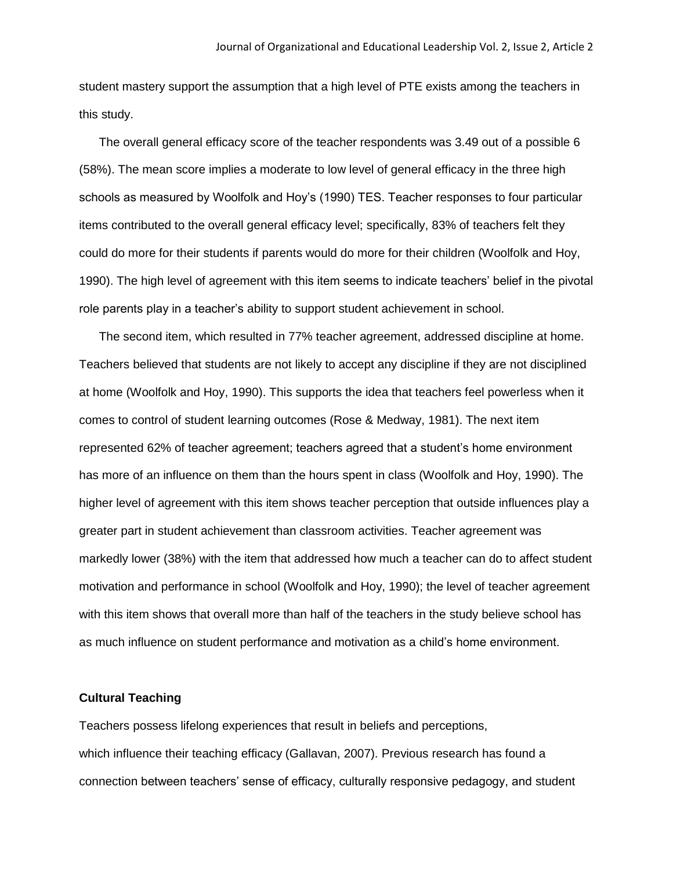student mastery support the assumption that a high level of PTE exists among the teachers in this study.

The overall general efficacy score of the teacher respondents was 3.49 out of a possible 6 (58%). The mean score implies a moderate to low level of general efficacy in the three high schools as measured by Woolfolk and Hoy's (1990) TES. Teacher responses to four particular items contributed to the overall general efficacy level; specifically, 83% of teachers felt they could do more for their students if parents would do more for their children (Woolfolk and Hoy, 1990). The high level of agreement with this item seems to indicate teachers' belief in the pivotal role parents play in a teacher's ability to support student achievement in school.

The second item, which resulted in 77% teacher agreement, addressed discipline at home. Teachers believed that students are not likely to accept any discipline if they are not disciplined at home (Woolfolk and Hoy, 1990). This supports the idea that teachers feel powerless when it comes to control of student learning outcomes (Rose & Medway, 1981). The next item represented 62% of teacher agreement; teachers agreed that a student's home environment has more of an influence on them than the hours spent in class (Woolfolk and Hoy, 1990). The higher level of agreement with this item shows teacher perception that outside influences play a greater part in student achievement than classroom activities. Teacher agreement was markedly lower (38%) with the item that addressed how much a teacher can do to affect student motivation and performance in school (Woolfolk and Hoy, 1990); the level of teacher agreement with this item shows that overall more than half of the teachers in the study believe school has as much influence on student performance and motivation as a child's home environment.

## **Cultural Teaching**

Teachers possess lifelong experiences that result in beliefs and perceptions, which influence their teaching efficacy (Gallavan, 2007). Previous research has found a connection between teachers' sense of efficacy, culturally responsive pedagogy, and student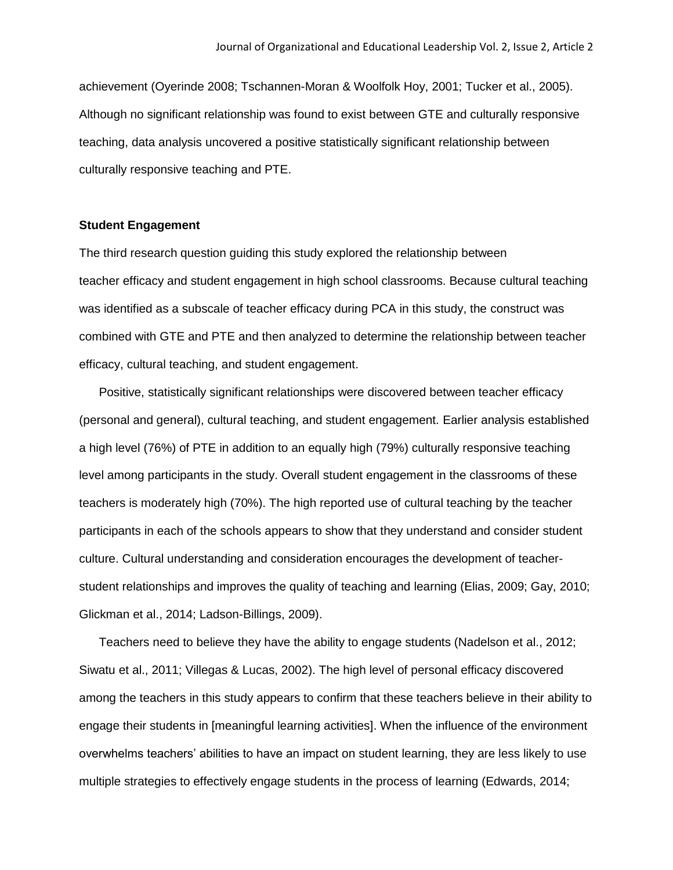achievement (Oyerinde 2008; Tschannen-Moran & Woolfolk Hoy, 2001; Tucker et al., 2005). Although no significant relationship was found to exist between GTE and culturally responsive teaching, data analysis uncovered a positive statistically significant relationship between culturally responsive teaching and PTE.

## **Student Engagement**

The third research question guiding this study explored the relationship between teacher efficacy and student engagement in high school classrooms. Because cultural teaching was identified as a subscale of teacher efficacy during PCA in this study, the construct was combined with GTE and PTE and then analyzed to determine the relationship between teacher efficacy, cultural teaching, and student engagement.

Positive, statistically significant relationships were discovered between teacher efficacy (personal and general), cultural teaching, and student engagement. Earlier analysis established a high level (76%) of PTE in addition to an equally high (79%) culturally responsive teaching level among participants in the study. Overall student engagement in the classrooms of these teachers is moderately high (70%). The high reported use of cultural teaching by the teacher participants in each of the schools appears to show that they understand and consider student culture. Cultural understanding and consideration encourages the development of teacherstudent relationships and improves the quality of teaching and learning (Elias, 2009; Gay, 2010; Glickman et al., 2014; Ladson-Billings, 2009).

Teachers need to believe they have the ability to engage students (Nadelson et al., 2012; Siwatu et al., 2011; Villegas & Lucas, 2002). The high level of personal efficacy discovered among the teachers in this study appears to confirm that these teachers believe in their ability to engage their students in [meaningful learning activities]. When the influence of the environment overwhelms teachers' abilities to have an impact on student learning, they are less likely to use multiple strategies to effectively engage students in the process of learning (Edwards, 2014;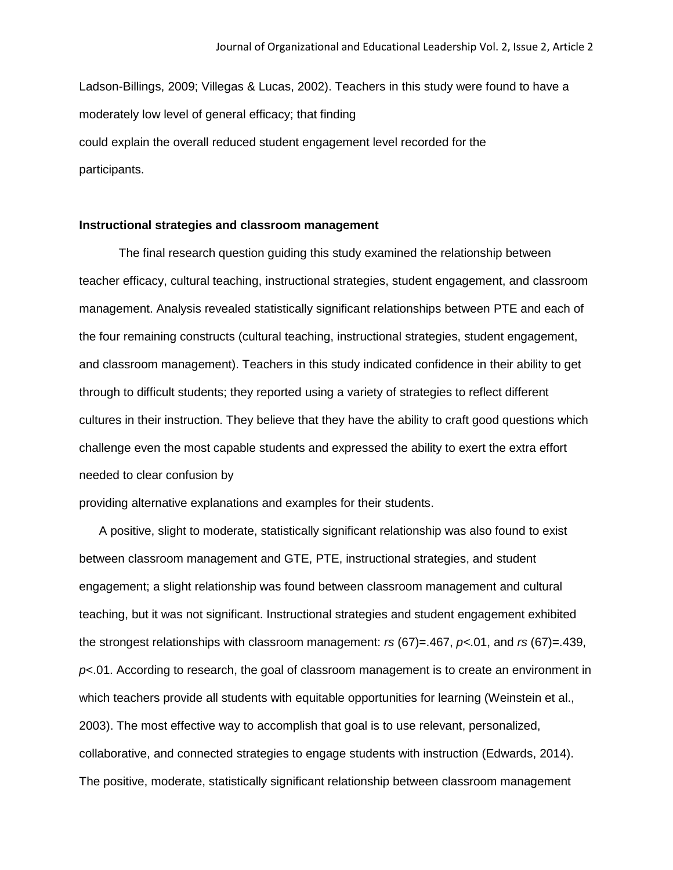Ladson-Billings, 2009; Villegas & Lucas, 2002). Teachers in this study were found to have a moderately low level of general efficacy; that finding could explain the overall reduced student engagement level recorded for the participants.

## **Instructional strategies and classroom management**

The final research question guiding this study examined the relationship between teacher efficacy, cultural teaching, instructional strategies, student engagement, and classroom management. Analysis revealed statistically significant relationships between PTE and each of the four remaining constructs (cultural teaching, instructional strategies, student engagement, and classroom management). Teachers in this study indicated confidence in their ability to get through to difficult students; they reported using a variety of strategies to reflect different cultures in their instruction. They believe that they have the ability to craft good questions which challenge even the most capable students and expressed the ability to exert the extra effort needed to clear confusion by

providing alternative explanations and examples for their students.

A positive, slight to moderate, statistically significant relationship was also found to exist between classroom management and GTE, PTE, instructional strategies, and student engagement; a slight relationship was found between classroom management and cultural teaching, but it was not significant. Instructional strategies and student engagement exhibited the strongest relationships with classroom management: *rs* (67)=.467, *p<*.01, and *rs* (67)=.439, *p*<.01. According to research, the goal of classroom management is to create an environment in which teachers provide all students with equitable opportunities for learning (Weinstein et al., 2003). The most effective way to accomplish that goal is to use relevant, personalized, collaborative, and connected strategies to engage students with instruction (Edwards, 2014). The positive, moderate, statistically significant relationship between classroom management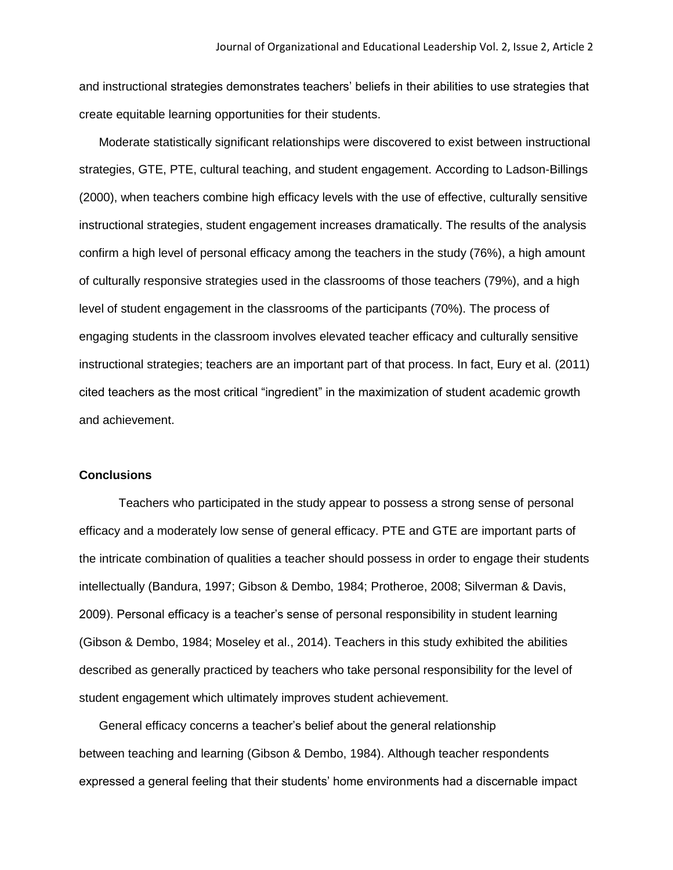and instructional strategies demonstrates teachers' beliefs in their abilities to use strategies that create equitable learning opportunities for their students.

Moderate statistically significant relationships were discovered to exist between instructional strategies, GTE, PTE, cultural teaching, and student engagement. According to Ladson-Billings (2000), when teachers combine high efficacy levels with the use of effective, culturally sensitive instructional strategies, student engagement increases dramatically. The results of the analysis confirm a high level of personal efficacy among the teachers in the study (76%), a high amount of culturally responsive strategies used in the classrooms of those teachers (79%), and a high level of student engagement in the classrooms of the participants (70%). The process of engaging students in the classroom involves elevated teacher efficacy and culturally sensitive instructional strategies; teachers are an important part of that process. In fact, Eury et al. (2011) cited teachers as the most critical "ingredient" in the maximization of student academic growth and achievement.

#### **Conclusions**

Teachers who participated in the study appear to possess a strong sense of personal efficacy and a moderately low sense of general efficacy. PTE and GTE are important parts of the intricate combination of qualities a teacher should possess in order to engage their students intellectually (Bandura, 1997; Gibson & Dembo, 1984; Protheroe, 2008; Silverman & Davis, 2009). Personal efficacy is a teacher's sense of personal responsibility in student learning (Gibson & Dembo, 1984; Moseley et al., 2014). Teachers in this study exhibited the abilities described as generally practiced by teachers who take personal responsibility for the level of student engagement which ultimately improves student achievement.

General efficacy concerns a teacher's belief about the general relationship between teaching and learning (Gibson & Dembo, 1984). Although teacher respondents expressed a general feeling that their students' home environments had a discernable impact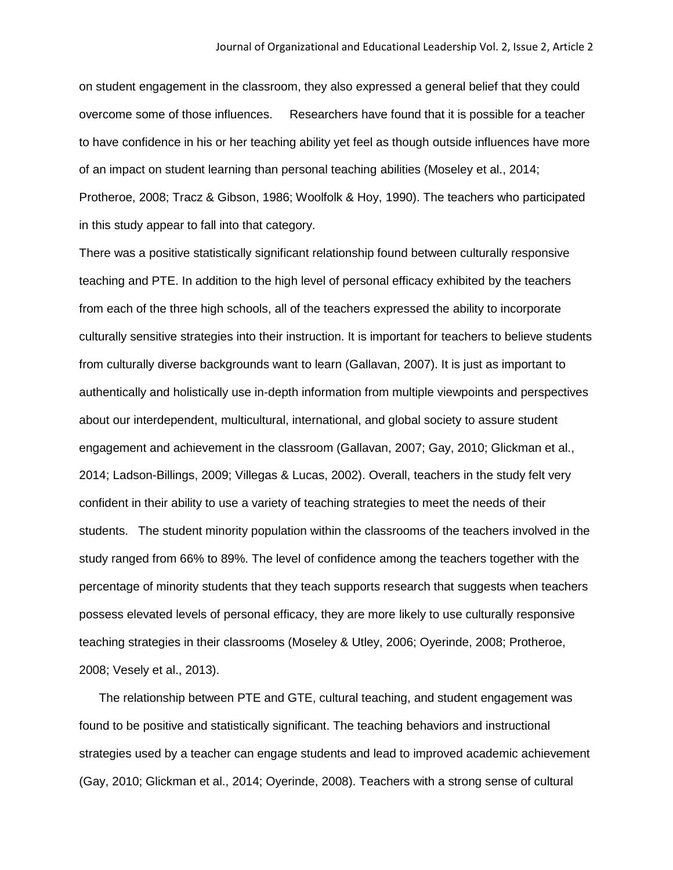on student engagement in the classroom, they also expressed a general belief that they could overcome some of those influences. Researchers have found that it is possible for a teacher to have confidence in his or her teaching ability yet feel as though outside influences have more of an impact on student learning than personal teaching abilities (Moseley et al., 2014; Protheroe, 2008; Tracz & Gibson, 1986; Woolfolk & Hoy, 1990). The teachers who participated in this study appear to fall into that category.

There was a positive statistically significant relationship found between culturally responsive teaching and PTE. In addition to the high level of personal efficacy exhibited by the teachers from each of the three high schools, all of the teachers expressed the ability to incorporate culturally sensitive strategies into their instruction. It is important for teachers to believe students from culturally diverse backgrounds want to learn (Gallavan, 2007). It is just as important to authentically and holistically use in-depth information from multiple viewpoints and perspectives about our interdependent, multicultural, international, and global society to assure student engagement and achievement in the classroom (Gallavan, 2007; Gay, 2010; Glickman et al., 2014; Ladson-Billings, 2009; Villegas & Lucas, 2002). Overall, teachers in the study felt very confident in their ability to use a variety of teaching strategies to meet the needs of their students. The student minority population within the classrooms of the teachers involved in the study ranged from 66% to 89%. The level of confidence among the teachers together with the percentage of minority students that they teach supports research that suggests when teachers possess elevated levels of personal efficacy, they are more likely to use culturally responsive teaching strategies in their classrooms (Moseley & Utley, 2006; Oyerinde, 2008; Protheroe, 2008; Vesely et al., 2013).

The relationship between PTE and GTE, cultural teaching, and student engagement was found to be positive and statistically significant. The teaching behaviors and instructional strategies used by a teacher can engage students and lead to improved academic achievement (Gay, 2010; Glickman et al., 2014; Oyerinde, 2008). Teachers with a strong sense of cultural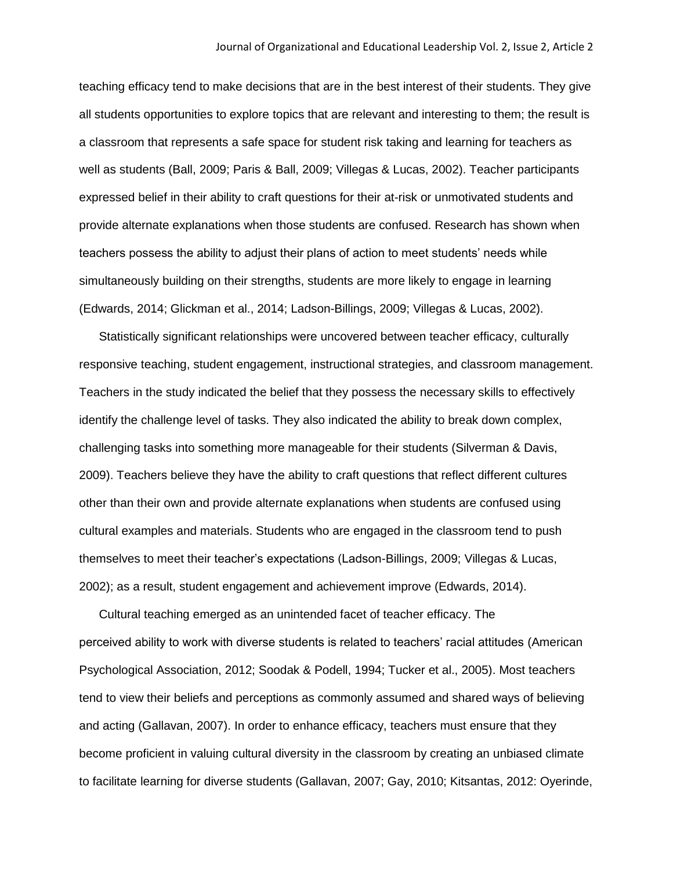teaching efficacy tend to make decisions that are in the best interest of their students. They give all students opportunities to explore topics that are relevant and interesting to them; the result is a classroom that represents a safe space for student risk taking and learning for teachers as well as students (Ball, 2009; Paris & Ball, 2009; Villegas & Lucas, 2002). Teacher participants expressed belief in their ability to craft questions for their at-risk or unmotivated students and provide alternate explanations when those students are confused. Research has shown when teachers possess the ability to adjust their plans of action to meet students' needs while simultaneously building on their strengths, students are more likely to engage in learning (Edwards, 2014; Glickman et al., 2014; Ladson-Billings, 2009; Villegas & Lucas, 2002).

Statistically significant relationships were uncovered between teacher efficacy, culturally responsive teaching, student engagement, instructional strategies, and classroom management. Teachers in the study indicated the belief that they possess the necessary skills to effectively identify the challenge level of tasks. They also indicated the ability to break down complex, challenging tasks into something more manageable for their students (Silverman & Davis, 2009). Teachers believe they have the ability to craft questions that reflect different cultures other than their own and provide alternate explanations when students are confused using cultural examples and materials. Students who are engaged in the classroom tend to push themselves to meet their teacher's expectations (Ladson-Billings, 2009; Villegas & Lucas, 2002); as a result, student engagement and achievement improve (Edwards, 2014).

Cultural teaching emerged as an unintended facet of teacher efficacy. The perceived ability to work with diverse students is related to teachers' racial attitudes (American Psychological Association, 2012; Soodak & Podell, 1994; Tucker et al., 2005). Most teachers tend to view their beliefs and perceptions as commonly assumed and shared ways of believing and acting (Gallavan, 2007). In order to enhance efficacy, teachers must ensure that they become proficient in valuing cultural diversity in the classroom by creating an unbiased climate to facilitate learning for diverse students (Gallavan, 2007; Gay, 2010; Kitsantas, 2012: Oyerinde,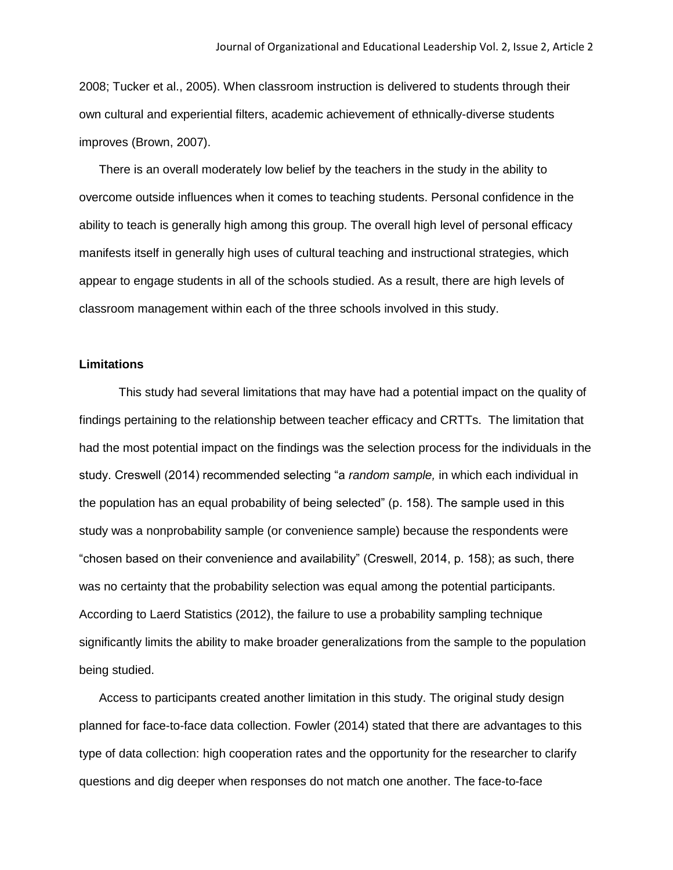2008; Tucker et al., 2005). When classroom instruction is delivered to students through their own cultural and experiential filters, academic achievement of ethnically-diverse students improves (Brown, 2007).

There is an overall moderately low belief by the teachers in the study in the ability to overcome outside influences when it comes to teaching students. Personal confidence in the ability to teach is generally high among this group. The overall high level of personal efficacy manifests itself in generally high uses of cultural teaching and instructional strategies, which appear to engage students in all of the schools studied. As a result, there are high levels of classroom management within each of the three schools involved in this study.

## **Limitations**

This study had several limitations that may have had a potential impact on the quality of findings pertaining to the relationship between teacher efficacy and CRTTs. The limitation that had the most potential impact on the findings was the selection process for the individuals in the study. Creswell (2014) recommended selecting "a *random sample,* in which each individual in the population has an equal probability of being selected" (p. 158). The sample used in this study was a nonprobability sample (or convenience sample) because the respondents were "chosen based on their convenience and availability" (Creswell, 2014, p. 158); as such, there was no certainty that the probability selection was equal among the potential participants. According to Laerd Statistics (2012), the failure to use a probability sampling technique significantly limits the ability to make broader generalizations from the sample to the population being studied.

Access to participants created another limitation in this study. The original study design planned for face-to-face data collection. Fowler (2014) stated that there are advantages to this type of data collection: high cooperation rates and the opportunity for the researcher to clarify questions and dig deeper when responses do not match one another. The face-to-face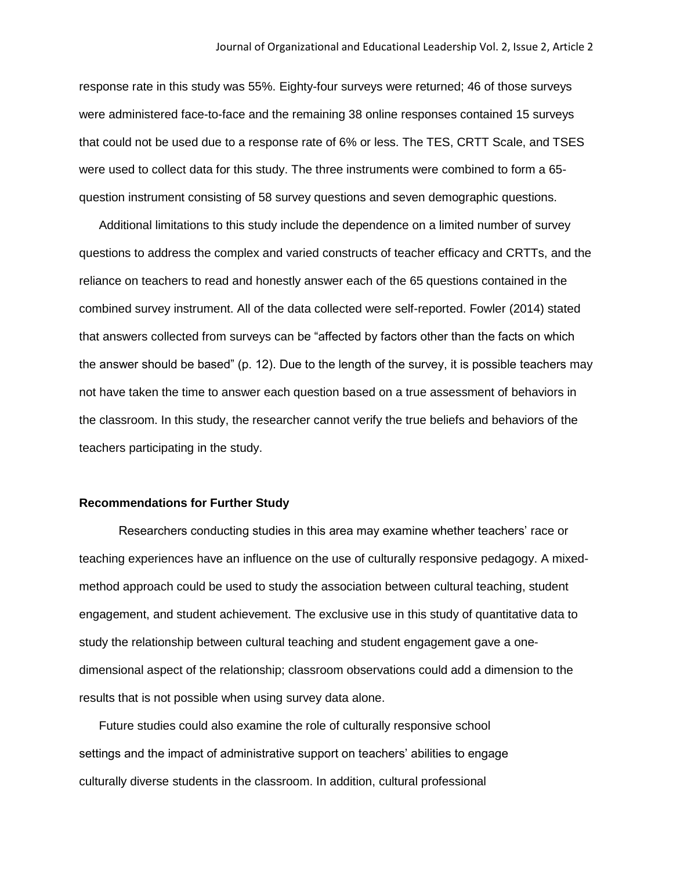response rate in this study was 55%. Eighty-four surveys were returned; 46 of those surveys were administered face-to-face and the remaining 38 online responses contained 15 surveys that could not be used due to a response rate of 6% or less. The TES, CRTT Scale, and TSES were used to collect data for this study. The three instruments were combined to form a 65 question instrument consisting of 58 survey questions and seven demographic questions.

Additional limitations to this study include the dependence on a limited number of survey questions to address the complex and varied constructs of teacher efficacy and CRTTs, and the reliance on teachers to read and honestly answer each of the 65 questions contained in the combined survey instrument. All of the data collected were self-reported. Fowler (2014) stated that answers collected from surveys can be "affected by factors other than the facts on which the answer should be based" (p. 12). Due to the length of the survey, it is possible teachers may not have taken the time to answer each question based on a true assessment of behaviors in the classroom. In this study, the researcher cannot verify the true beliefs and behaviors of the teachers participating in the study.

## **Recommendations for Further Study**

Researchers conducting studies in this area may examine whether teachers' race or teaching experiences have an influence on the use of culturally responsive pedagogy. A mixedmethod approach could be used to study the association between cultural teaching, student engagement, and student achievement. The exclusive use in this study of quantitative data to study the relationship between cultural teaching and student engagement gave a onedimensional aspect of the relationship; classroom observations could add a dimension to the results that is not possible when using survey data alone.

Future studies could also examine the role of culturally responsive school settings and the impact of administrative support on teachers' abilities to engage culturally diverse students in the classroom. In addition, cultural professional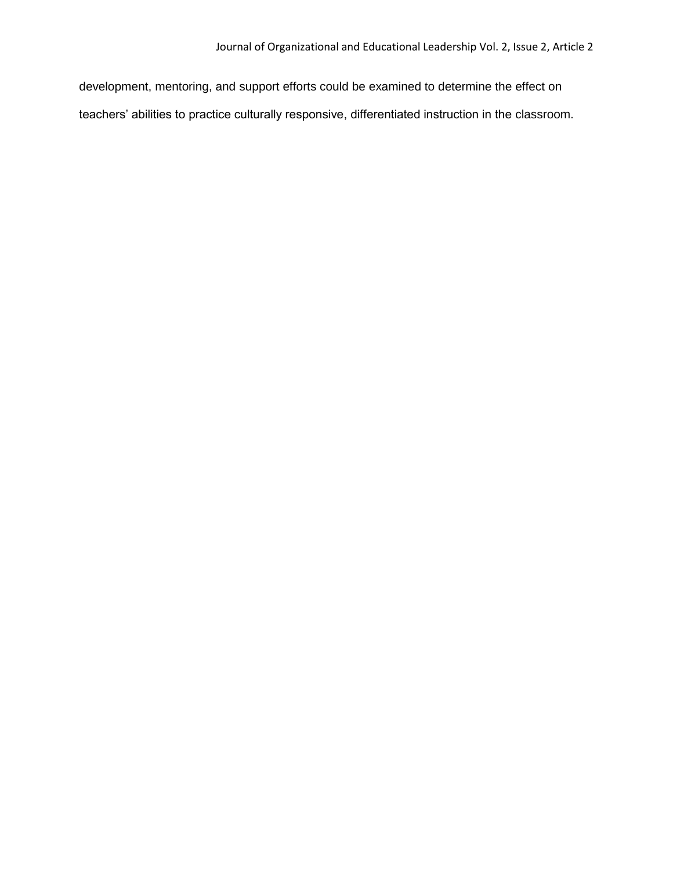development, mentoring, and support efforts could be examined to determine the effect on teachers' abilities to practice culturally responsive, differentiated instruction in the classroom.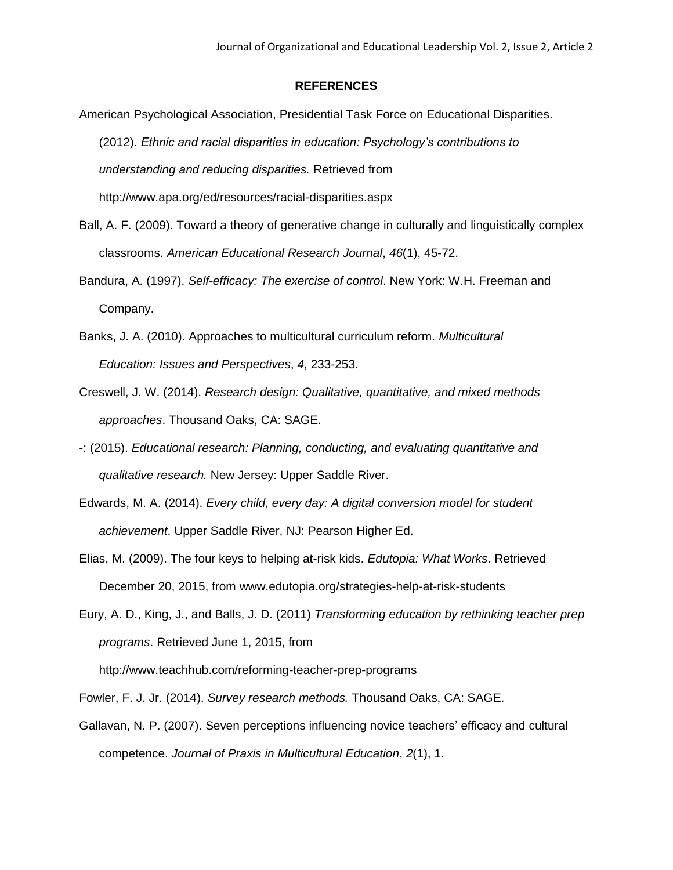## **REFERENCES**

- American Psychological Association, Presidential Task Force on Educational Disparities. (2012)*. Ethnic and racial disparities in education: Psychology's contributions to understanding and reducing disparities.* Retrieved from http://www.apa.org/ed/resources/racial-disparities.aspx
- Ball, A. F. (2009). Toward a theory of generative change in culturally and linguistically complex classrooms. *American Educational Research Journal*, *46*(1), 45-72.
- Bandura, A. (1997). *Self-efficacy: The exercise of control*. New York: W.H. Freeman and Company.
- Banks, J. A. (2010). Approaches to multicultural curriculum reform. *Multicultural Education: Issues and Perspectives*, *4*, 233-253.
- Creswell, J. W. (2014). *Research design: Qualitative, quantitative, and mixed methods approaches*. Thousand Oaks, CA: SAGE.
- -: (2015). *Educational research: Planning, conducting, and evaluating quantitative and qualitative research.* New Jersey: Upper Saddle River.
- Edwards, M. A. (2014). *Every child, every day: A digital conversion model for student achievement*. Upper Saddle River, NJ: Pearson Higher Ed.
- Elias, M. (2009). The four keys to helping at-risk kids. *Edutopia: What Works*. Retrieved December 20, 2015, from www.edutopia.org/strategies-help-at-risk-students
- Eury, A. D., King, J., and Balls, J. D. (2011) *Transforming education by rethinking teacher prep programs*. Retrieved June 1, 2015, from http://www.teachhub.com/reforming-teacher-prep-programs
- Fowler, F. J. Jr. (2014). *Survey research methods.* Thousand Oaks, CA: SAGE.
- Gallavan, N. P. (2007). Seven perceptions influencing novice teachers' efficacy and cultural competence. *Journal of Praxis in Multicultural Education*, *2*(1), 1.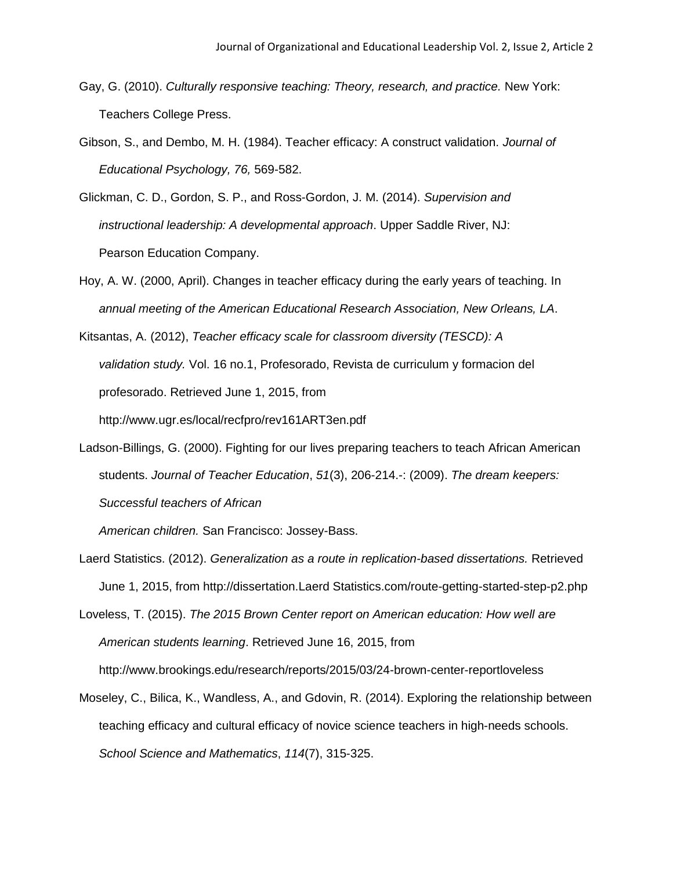- Gay, G. (2010). *Culturally responsive teaching: Theory, research, and practice.* New York: Teachers College Press.
- Gibson, S., and Dembo, M. H. (1984). Teacher efficacy: A construct validation. *Journal of Educational Psychology, 76,* 569-582.
- Glickman, C. D., Gordon, S. P., and Ross-Gordon, J. M. (2014). *Supervision and instructional leadership: A developmental approach*. Upper Saddle River, NJ: Pearson Education Company.
- Hoy, A. W. (2000, April). Changes in teacher efficacy during the early years of teaching. In *annual meeting of the American Educational Research Association, New Orleans, LA*.
- Kitsantas, A. (2012), *Teacher efficacy scale for classroom diversity (TESCD): A validation study.* Vol. 16 no.1, Profesorado, Revista de curriculum y formacion del profesorado. Retrieved June 1, 2015, from http://www.ugr.es/local/recfpro/rev161ART3en.pdf
- Ladson-Billings, G. (2000). Fighting for our lives preparing teachers to teach African American students. *Journal of Teacher Education*, *51*(3), 206-214.-: (2009). *The dream keepers: Successful teachers of African*

*American children.* San Francisco: Jossey-Bass.

Laerd Statistics. (2012). *Generalization as a route in replication-based dissertations.* Retrieved June 1, 2015, from http://dissertation.Laerd Statistics.com/route-getting-started-step-p2.php

Loveless, T. (2015). *The 2015 Brown Center report on American education: How well are American students learning*. Retrieved June 16, 2015, from http://www.brookings.edu/research/reports/2015/03/24-brown-center-reportloveless

Moseley, C., Bilica, K., Wandless, A., and Gdovin, R. (2014). Exploring the relationship between teaching efficacy and cultural efficacy of novice science teachers in high-needs schools. *School Science and Mathematics*, *114*(7), 315-325.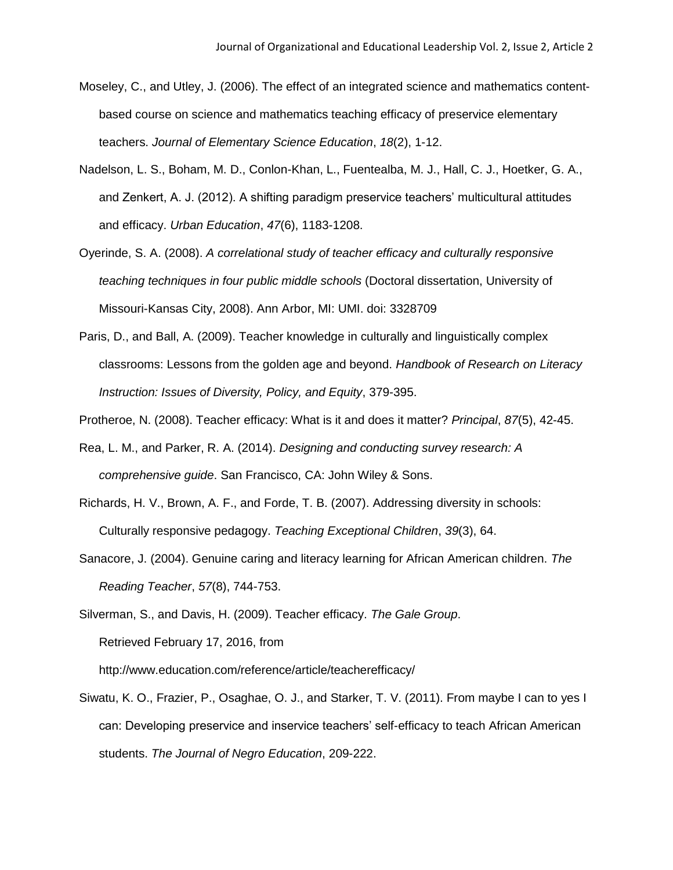- Moseley, C., and Utley, J. (2006). The effect of an integrated science and mathematics contentbased course on science and mathematics teaching efficacy of preservice elementary teachers. *Journal of Elementary Science Education*, *18*(2), 1-12.
- Nadelson, L. S., Boham, M. D., Conlon-Khan, L., Fuentealba, M. J., Hall, C. J., Hoetker, G. A., and Zenkert, A. J. (2012). A shifting paradigm preservice teachers' multicultural attitudes and efficacy. *Urban Education*, *47*(6), 1183-1208.
- Oyerinde, S. A. (2008). *A correlational study of teacher efficacy and culturally responsive teaching techniques in four public middle schools* (Doctoral dissertation, University of Missouri-Kansas City, 2008). Ann Arbor, MI: UMI. doi: 3328709
- Paris, D., and Ball, A. (2009). Teacher knowledge in culturally and linguistically complex classrooms: Lessons from the golden age and beyond. *Handbook of Research on Literacy Instruction: Issues of Diversity, Policy, and Equity*, 379-395.
- Protheroe, N. (2008). Teacher efficacy: What is it and does it matter? *Principal*, *87*(5), 42-45.
- Rea, L. M., and Parker, R. A. (2014). *Designing and conducting survey research: A comprehensive guide*. San Francisco, CA: John Wiley & Sons.
- Richards, H. V., Brown, A. F., and Forde, T. B. (2007). Addressing diversity in schools: Culturally responsive pedagogy. *Teaching Exceptional Children*, *39*(3), 64.
- Sanacore, J. (2004). Genuine caring and literacy learning for African American children. *The Reading Teacher*, *57*(8), 744-753.

Silverman, S., and Davis, H. (2009). Teacher efficacy. *The Gale Group*. Retrieved February 17, 2016, from http://www.education.com/reference/article/teacherefficacy/

Siwatu, K. O., Frazier, P., Osaghae, O. J., and Starker, T. V. (2011). From maybe I can to yes I can: Developing preservice and inservice teachers' self-efficacy to teach African American students. *The Journal of Negro Education*, 209-222.